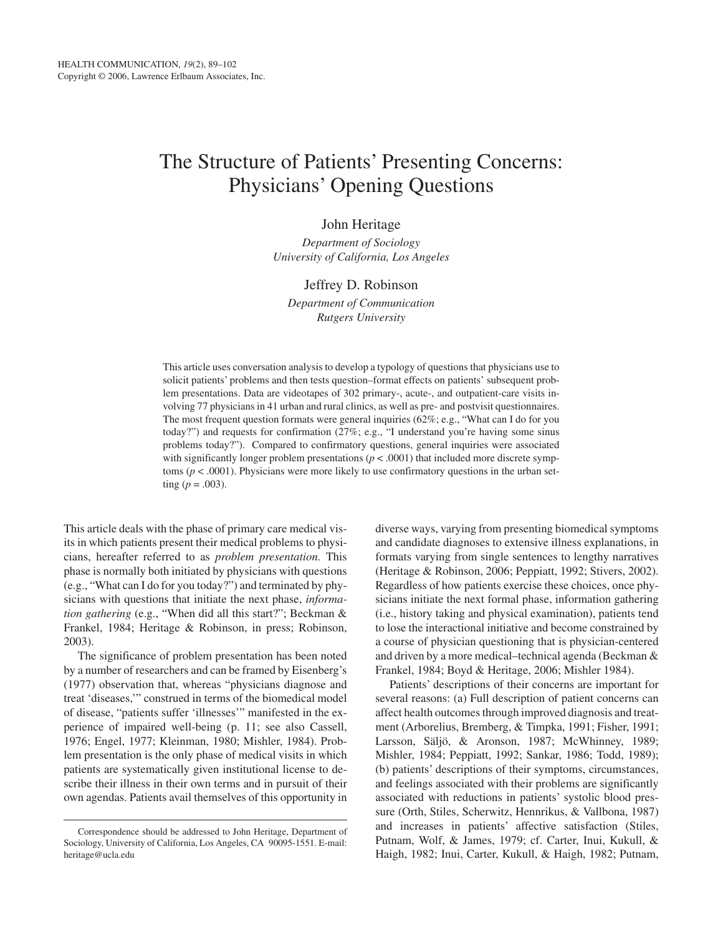# The Structure of Patients' Presenting Concerns: Physicians' Opening Questions

# John Heritage

*Department of Sociology University of California, Los Angeles*

# Jeffrey D. Robinson

*Department of Communication Rutgers University*

This article uses conversation analysis to develop a typology of questions that physicians use to solicit patients' problems and then tests question–format effects on patients' subsequent problem presentations. Data are videotapes of 302 primary-, acute-, and outpatient-care visits involving 77 physicians in 41 urban and rural clinics, as well as pre- and postvisit questionnaires. The most frequent question formats were general inquiries (62%; e.g., "What can I do for you today?") and requests for confirmation (27%; e.g., "I understand you're having some sinus problems today?"). Compared to confirmatory questions, general inquiries were associated with significantly longer problem presentations ( $p < .0001$ ) that included more discrete symptoms ( $p < .0001$ ). Physicians were more likely to use confirmatory questions in the urban setting ( $p = .003$ ).

This article deals with the phase of primary care medical visits in which patients present their medical problems to physicians, hereafter referred to as *problem presentation.* This phase is normally both initiated by physicians with questions (e.g., "What can I do for you today?") and terminated by physicians with questions that initiate the next phase, *information gathering* (e.g., "When did all this start?"; Beckman & Frankel, 1984; Heritage & Robinson, in press; Robinson, 2003).

The significance of problem presentation has been noted by a number of researchers and can be framed by Eisenberg's (1977) observation that, whereas "physicians diagnose and treat 'diseases,'" construed in terms of the biomedical model of disease, "patients suffer 'illnesses'" manifested in the experience of impaired well-being (p. 11; see also Cassell, 1976; Engel, 1977; Kleinman, 1980; Mishler, 1984). Problem presentation is the only phase of medical visits in which patients are systematically given institutional license to describe their illness in their own terms and in pursuit of their own agendas. Patients avail themselves of this opportunity in

diverse ways, varying from presenting biomedical symptoms and candidate diagnoses to extensive illness explanations, in formats varying from single sentences to lengthy narratives (Heritage & Robinson, 2006; Peppiatt, 1992; Stivers, 2002). Regardless of how patients exercise these choices, once physicians initiate the next formal phase, information gathering (i.e., history taking and physical examination), patients tend to lose the interactional initiative and become constrained by a course of physician questioning that is physician-centered and driven by a more medical–technical agenda (Beckman & Frankel, 1984; Boyd & Heritage, 2006; Mishler 1984).

Patients' descriptions of their concerns are important for several reasons: (a) Full description of patient concerns can affect health outcomes through improved diagnosis and treatment (Arborelius, Bremberg, & Timpka, 1991; Fisher, 1991; Larsson, Säljö, & Aronson, 1987; McWhinney, 1989; Mishler, 1984; Peppiatt, 1992; Sankar, 1986; Todd, 1989); (b) patients' descriptions of their symptoms, circumstances, and feelings associated with their problems are significantly associated with reductions in patients' systolic blood pressure (Orth, Stiles, Scherwitz, Hennrikus, & Vallbona, 1987) and increases in patients' affective satisfaction (Stiles, Putnam, Wolf, & James, 1979; cf. Carter, Inui, Kukull, & Haigh, 1982; Inui, Carter, Kukull, & Haigh, 1982; Putnam,

Correspondence should be addressed to John Heritage, Department of Sociology, University of California, Los Angeles, CA 90095-1551. E-mail: heritage@ucla.edu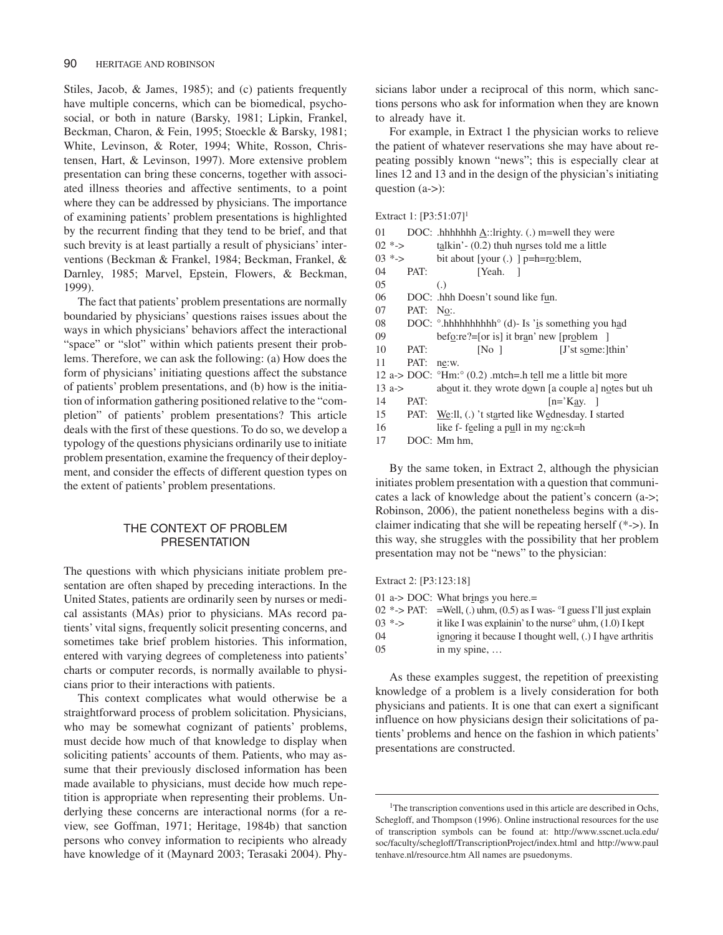Stiles, Jacob, & James, 1985); and (c) patients frequently have multiple concerns, which can be biomedical, psychosocial, or both in nature (Barsky, 1981; Lipkin, Frankel, Beckman, Charon, & Fein, 1995; Stoeckle & Barsky, 1981; White, Levinson, & Roter, 1994; White, Rosson, Christensen, Hart, & Levinson, 1997). More extensive problem presentation can bring these concerns, together with associated illness theories and affective sentiments, to a point where they can be addressed by physicians. The importance of examining patients' problem presentations is highlighted by the recurrent finding that they tend to be brief, and that such brevity is at least partially a result of physicians' interventions (Beckman & Frankel, 1984; Beckman, Frankel, & Darnley, 1985; Marvel, Epstein, Flowers, & Beckman, 1999).

The fact that patients' problem presentations are normally boundaried by physicians' questions raises issues about the ways in which physicians' behaviors affect the interactional "space" or "slot" within which patients present their problems. Therefore, we can ask the following: (a) How does the form of physicians' initiating questions affect the substance of patients' problem presentations, and (b) how is the initiation of information gathering positioned relative to the "completion" of patients' problem presentations? This article deals with the first of these questions. To do so, we develop a typology of the questions physicians ordinarily use to initiate problem presentation, examine the frequency of their deployment, and consider the effects of different question types on the extent of patients' problem presentations.

# THE CONTEXT OF PROBLEM **PRESENTATION**

The questions with which physicians initiate problem presentation are often shaped by preceding interactions. In the United States, patients are ordinarily seen by nurses or medical assistants (MAs) prior to physicians. MAs record patients' vital signs, frequently solicit presenting concerns, and sometimes take brief problem histories. This information, entered with varying degrees of completeness into patients' charts or computer records, is normally available to physicians prior to their interactions with patients.

This context complicates what would otherwise be a straightforward process of problem solicitation. Physicians, who may be somewhat cognizant of patients' problems, must decide how much of that knowledge to display when soliciting patients' accounts of them. Patients, who may assume that their previously disclosed information has been made available to physicians, must decide how much repetition is appropriate when representing their problems. Underlying these concerns are interactional norms (for a review, see Goffman, 1971; Heritage, 1984b) that sanction persons who convey information to recipients who already have knowledge of it (Maynard 2003; Terasaki 2004). Phy-

sicians labor under a reciprocal of this norm, which sanctions persons who ask for information when they are known to already have it.

For example, in Extract 1 the physician works to relieve the patient of whatever reservations she may have about repeating possibly known "news"; this is especially clear at lines 12 and 13 and in the design of the physician's initiating question (a->):

Extract 1: [P3:51:07]1

| 01        |          | DOC: .hhhhhhh $\Delta$ ::lrighty. (.) m=well they were                      |
|-----------|----------|-----------------------------------------------------------------------------|
| $02$ *->  |          | talkin' $-$ (0.2) thuh nurses told me a little                              |
| $0.3$ *-> |          | bit about [your $(.)$ ] p=h=ro:blem,                                        |
| 04        | PAT:     | [Yeah. ]                                                                    |
| 05        |          | $\left( .\right)$                                                           |
| 06        |          | DOC: .hhh Doesn't sound like fun.                                           |
| 07        | PAT: No: |                                                                             |
| 08        |          |                                                                             |
| 09        |          | befo:re?=[or is] it bran' new [problem ]                                    |
| 10        | PAT:     | [No]<br>$[J]$ st some: $ $ thin'                                            |
| 11        | PAT:     | ne:w.                                                                       |
|           |          | 12 a-> DOC: $\degree$ Hm: $\degree$ (0.2) mtch=.h tell me a little bit more |
| 13 a >    |          | about it. they wrote down [a couple a] notes but uh                         |
| 14        | PAT:     | $[n = 'Kay.]$                                                               |
| 15        | PAT:     | We:ll, (.) 't started like Wednesday. I started                             |
| 16        |          | like f- feeling a pull in my ne:ck=h                                        |
| 17        |          | DOC: Mm hm,                                                                 |

By the same token, in Extract 2, although the physician initiates problem presentation with a question that communicates a lack of knowledge about the patient's concern (a->; Robinson, 2006), the patient nonetheless begins with a disclaimer indicating that she will be repeating herself (\*->). In this way, she struggles with the possibility that her problem presentation may not be "news" to the physician:

Extract 2: [P3:123:18]

|    |           | 01 a-> DOC: What brings you here. $=$                                                 |
|----|-----------|---------------------------------------------------------------------------------------|
|    |           | $02$ *-> PAT: = Well, (.) uhm, (0.5) as I was- <sup>o</sup> I guess I'll just explain |
|    | $0.3$ *-> | it like I was explainin' to the nurse $\degree$ uhm, (1.0) I kept                     |
| 04 |           | ignoring it because I thought well, (.) I have arthritis                              |
| 05 |           | in my spine,                                                                          |

As these examples suggest, the repetition of preexisting knowledge of a problem is a lively consideration for both physicians and patients. It is one that can exert a significant influence on how physicians design their solicitations of patients' problems and hence on the fashion in which patients' presentations are constructed.

<sup>&</sup>lt;sup>1</sup>The transcription conventions used in this article are described in Ochs, Schegloff, and Thompson (1996). Online instructional resources for the use of transcription symbols can be found at: http://www.sscnet.ucla.edu/ soc/faculty/schegloff/TranscriptionProject/index.html and http://www.paul tenhave.nl/resource.htm All names are psuedonyms.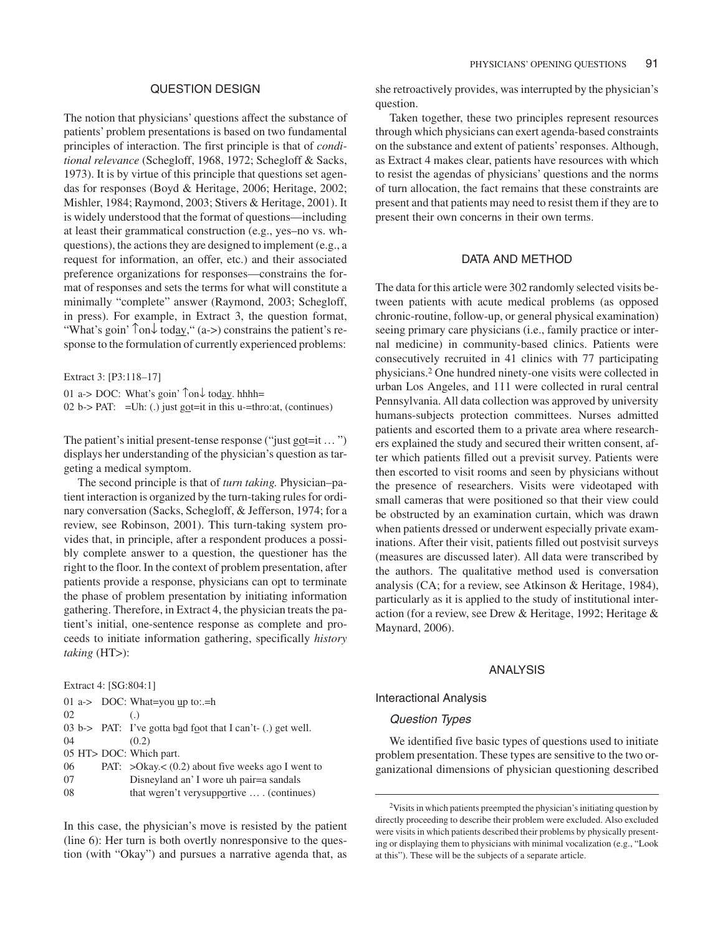#### QUESTION DESIGN

The notion that physicians' questions affect the substance of patients' problem presentations is based on two fundamental principles of interaction. The first principle is that of *conditional relevance* (Schegloff, 1968, 1972; Schegloff & Sacks, 1973). It is by virtue of this principle that questions set agendas for responses (Boyd & Heritage, 2006; Heritage, 2002; Mishler, 1984; Raymond, 2003; Stivers & Heritage, 2001). It is widely understood that the format of questions—including at least their grammatical construction (e.g., yes–no vs. whquestions), the actions they are designed to implement (e.g., a request for information, an offer, etc.) and their associated preference organizations for responses—constrains the format of responses and sets the terms for what will constitute a minimally "complete" answer (Raymond, 2003; Schegloff, in press). For example, in Extract 3, the question format, "What's goin'↑on↓ today," (a->) constrains the patient's response to the formulation of currently experienced problems:

Extract 3: [P3:118–17]

01 a-> DOC: What's goin'  $\text{On}\downarrow$  today. hhhh= 02 b-> PAT: = Uh: (.) just got=it in this u-=thro: at, (continues)

The patient's initial present-tense response ("just  $g_0t=it \dots$ ") displays her understanding of the physician's question as targeting a medical symptom.

The second principle is that of *turn taking.* Physician–patient interaction is organized by the turn-taking rules for ordinary conversation (Sacks, Schegloff, & Jefferson, 1974; for a review, see Robinson, 2001). This turn-taking system provides that, in principle, after a respondent produces a possibly complete answer to a question, the questioner has the right to the floor. In the context of problem presentation, after patients provide a response, physicians can opt to terminate the phase of problem presentation by initiating information gathering. Therefore, in Extract 4, the physician treats the patient's initial, one-sentence response as complete and proceeds to initiate information gathering, specifically *history taking* (HT>):

#### Extract 4: [SG:804:1]

|    |  | 01 a-> DOC: What=you $\n  up to: =h\n$                     |
|----|--|------------------------------------------------------------|
| 02 |  | $\left( .\right)$                                          |
|    |  | 03 b-> PAT: I've gotta bad foot that I can't (.) get well. |
| 04 |  | (0.2)                                                      |
|    |  | 05 HT> DOC: Which part.                                    |
| 06 |  | PAT: $>0$ kay. $<$ (0.2) about five weeks ago I went to    |
| 07 |  | Disneyland an' I wore uh pair=a sandals                    |
| 08 |  | that weren't very supportive  . (continues)                |

In this case, the physician's move is resisted by the patient (line 6): Her turn is both overtly nonresponsive to the question (with "Okay") and pursues a narrative agenda that, as she retroactively provides, was interrupted by the physician's question.

Taken together, these two principles represent resources through which physicians can exert agenda-based constraints on the substance and extent of patients' responses. Although, as Extract 4 makes clear, patients have resources with which to resist the agendas of physicians' questions and the norms of turn allocation, the fact remains that these constraints are present and that patients may need to resist them if they are to present their own concerns in their own terms.

## DATA AND METHOD

The data for this article were 302 randomly selected visits between patients with acute medical problems (as opposed chronic-routine, follow-up, or general physical examination) seeing primary care physicians (i.e., family practice or internal medicine) in community-based clinics. Patients were consecutively recruited in 41 clinics with 77 participating physicians.2 One hundred ninety-one visits were collected in urban Los Angeles, and 111 were collected in rural central Pennsylvania. All data collection was approved by university humans-subjects protection committees. Nurses admitted patients and escorted them to a private area where researchers explained the study and secured their written consent, after which patients filled out a previsit survey. Patients were then escorted to visit rooms and seen by physicians without the presence of researchers. Visits were videotaped with small cameras that were positioned so that their view could be obstructed by an examination curtain, which was drawn when patients dressed or underwent especially private examinations. After their visit, patients filled out postvisit surveys (measures are discussed later). All data were transcribed by the authors. The qualitative method used is conversation analysis (CA; for a review, see Atkinson & Heritage, 1984), particularly as it is applied to the study of institutional interaction (for a review, see Drew & Heritage, 1992; Heritage & Maynard, 2006).

### ANALYSIS

#### Interactional Analysis

#### Question Types

We identified five basic types of questions used to initiate problem presentation. These types are sensitive to the two organizational dimensions of physician questioning described

<sup>2</sup>Visits in which patients preempted the physician's initiating question by directly proceeding to describe their problem were excluded. Also excluded were visits in which patients described their problems by physically presenting or displaying them to physicians with minimal vocalization (e.g., "Look at this"). These will be the subjects of a separate article.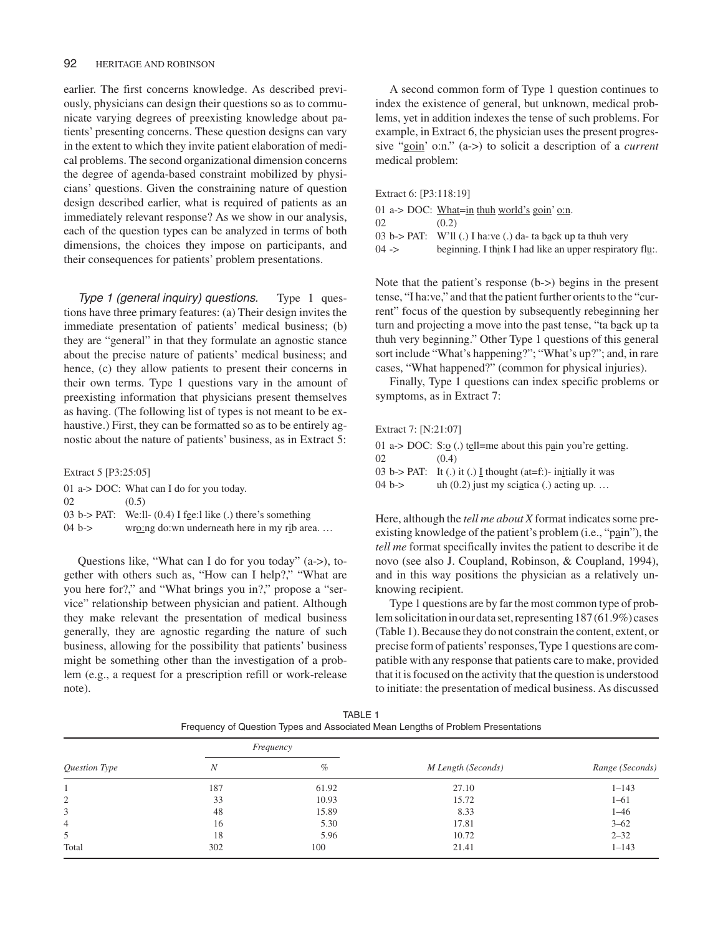earlier. The first concerns knowledge. As described previously, physicians can design their questions so as to communicate varying degrees of preexisting knowledge about patients' presenting concerns. These question designs can vary in the extent to which they invite patient elaboration of medical problems. The second organizational dimension concerns the degree of agenda-based constraint mobilized by physicians' questions. Given the constraining nature of question design described earlier, what is required of patients as an immediately relevant response? As we show in our analysis, each of the question types can be analyzed in terms of both dimensions, the choices they impose on participants, and their consequences for patients' problem presentations.

Type 1 (general inquiry) questions. Type 1 questions have three primary features: (a) Their design invites the immediate presentation of patients' medical business; (b) they are "general" in that they formulate an agnostic stance about the precise nature of patients' medical business; and hence, (c) they allow patients to present their concerns in their own terms. Type 1 questions vary in the amount of preexisting information that physicians present themselves as having. (The following list of types is not meant to be exhaustive.) First, they can be formatted so as to be entirely agnostic about the nature of patients' business, as in Extract 5:

Extract 5 [P3:25:05]

|    |            | 01 a-> DOC: What can I do for you today.                      |
|----|------------|---------------------------------------------------------------|
| 02 |            | (0.5)                                                         |
|    |            | 03 b-> PAT: We:ll- $(0.4)$ I fee:l like (.) there's something |
|    | $04 b \ge$ | wro:ng do:wn underneath here in my rib area                   |

Questions like, "What can I do for you today" (a->), together with others such as, "How can I help?," "What are you here for?," and "What brings you in?," propose a "service" relationship between physician and patient. Although they make relevant the presentation of medical business generally, they are agnostic regarding the nature of such business, allowing for the possibility that patients' business might be something other than the investigation of a problem (e.g., a request for a prescription refill or work-release note).

A second common form of Type 1 question continues to index the existence of general, but unknown, medical problems, yet in addition indexes the tense of such problems. For example, in Extract 6, the physician uses the present progressive "goin' o:n." (a->) to solicit a description of a *current* medical problem:

Extract 6: [P3:118:19]

|        | 01 a-> DOC: What=in thuh world's goin' o:n.                  |
|--------|--------------------------------------------------------------|
| 02     | (0.2)                                                        |
|        | 03 b-> PAT: W'll (.) I ha:ve (.) da- ta back up ta thuh very |
| $04 -$ | beginning. I think I had like an upper respiratory flu       |

Note that the patient's response (b->) begins in the present tense, "I ha:ve," and that the patient further orients to the "current" focus of the question by subsequently rebeginning her turn and projecting a move into the past tense, "ta back up ta thuh very beginning." Other Type 1 questions of this general sort include "What's happening?"; "What's up?"; and, in rare cases, "What happened?" (common for physical injuries).

Finally, Type 1 questions can index specific problems or symptoms, as in Extract 7:

|        | 01 a-> DOC: S:o (.) tell=me about this pain you're getting.   |
|--------|---------------------------------------------------------------|
| 02.    | (0.4)                                                         |
|        | 03 b-> PAT: It (.) it (.) I thought (at=f:)- initially it was |
| 04 b-> | uh $(0.2)$ just my sciatica (.) acting up.                    |

Here, although the *tell me about X* format indicates some preexisting knowledge of the patient's problem (i.e., "pain"), the *tell me* format specifically invites the patient to describe it de novo (see also J. Coupland, Robinson, & Coupland, 1994), and in this way positions the physician as a relatively unknowing recipient.

Type 1 questions are by far the most common type of problem solicitation in our data set, representing 187 (61.9%) cases (Table 1). Because they do not constrain the content, extent, or precise form of patients'responses, Type 1 questions are compatible with any response that patients care to make, provided that it is focused on the activity that the question is understood to initiate: the presentation of medical business. As discussed

| TABLE 1                                                                          |  |
|----------------------------------------------------------------------------------|--|
| Frequency of Question Types and Associated Mean Lengths of Problem Presentations |  |

|               | Frequency |       |                    |                 |
|---------------|-----------|-------|--------------------|-----------------|
| Question Type | N         | $\%$  | M Length (Seconds) | Range (Seconds) |
|               | 187       | 61.92 | 27.10              | $1 - 143$       |
| 2             | 33        | 10.93 | 15.72              | $1 - 61$        |
| 3             | 48        | 15.89 | 8.33               | $1 - 46$        |
| 4             | 16        | 5.30  | 17.81              | $3 - 62$        |
| 5             | 18        | 5.96  | 10.72              | $2 - 32$        |
| Total         | 302       | 100   | 21.41              | $1 - 143$       |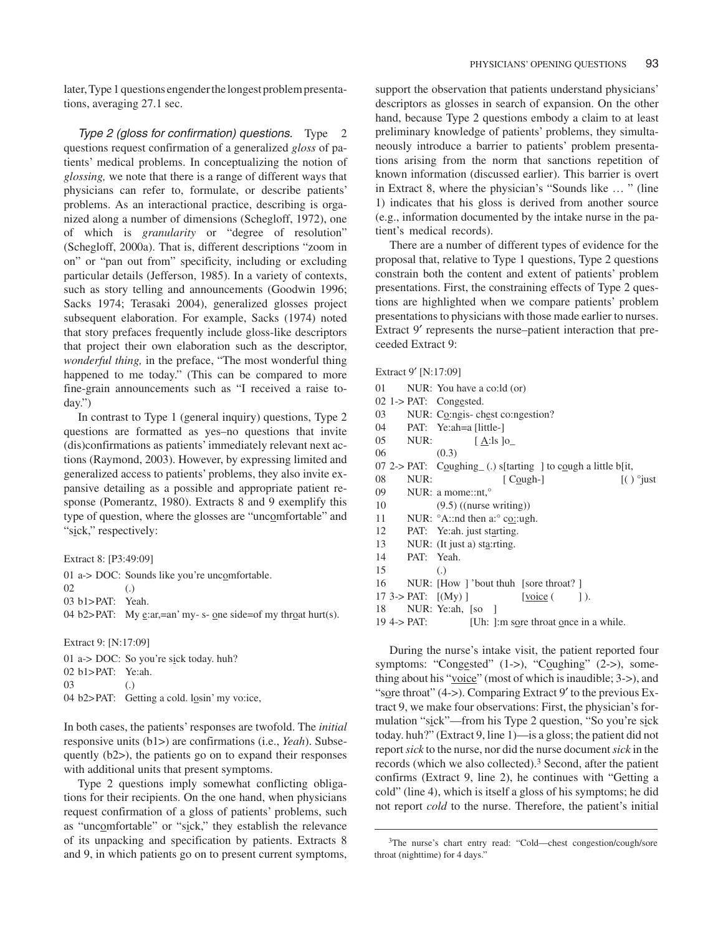later, Type 1 questions engender the longest problem presentations, averaging 27.1 sec.

Type 2 (gloss for confirmation) questions. Type 2 questions request confirmation of a generalized *gloss* of patients' medical problems. In conceptualizing the notion of *glossing,* we note that there is a range of different ways that physicians can refer to, formulate, or describe patients' problems. As an interactional practice, describing is organized along a number of dimensions (Schegloff, 1972), one of which is *granularity* or "degree of resolution" (Schegloff, 2000a). That is, different descriptions "zoom in on" or "pan out from" specificity, including or excluding particular details (Jefferson, 1985). In a variety of contexts, such as story telling and announcements (Goodwin 1996; Sacks 1974; Terasaki 2004), generalized glosses project subsequent elaboration. For example, Sacks (1974) noted that story prefaces frequently include gloss-like descriptors that project their own elaboration such as the descriptor, *wonderful thing,* in the preface, "The most wonderful thing happened to me today." (This can be compared to more fine-grain announcements such as "I received a raise today.")

In contrast to Type 1 (general inquiry) questions, Type 2 questions are formatted as yes–no questions that invite (dis)confirmations as patients' immediately relevant next actions (Raymond, 2003). However, by expressing limited and generalized access to patients' problems, they also invite expansive detailing as a possible and appropriate patient response (Pomerantz, 1980). Extracts 8 and 9 exemplify this type of question, where the glosses are "uncomfortable" and "sick," respectively:

Extract 8: [P3:49:09] 01 a-> DOC: Sounds like you're uncomfortable.  $02$  (.) 03 b1>PAT: Yeah. 04 b2>PAT: My  $e:ar, = an'$  my-s- one side=of my throat hurt(s). Extract 9: [N:17:09]

01 a-> DOC: So you're sick today. huh? 02 b1>PAT: Ye:ah.  $03 \t\t(.)$ 04 b2>PAT: Getting a cold. losin' my vo:ice,

In both cases, the patients' responses are twofold. The *initial* responsive units (b1>) are confirmations (i.e., *Yeah*). Subsequently (b2>), the patients go on to expand their responses with additional units that present symptoms.

Type 2 questions imply somewhat conflicting obligations for their recipients. On the one hand, when physicians request confirmation of a gloss of patients' problems, such as "uncomfortable" or "sick," they establish the relevance of its unpacking and specification by patients. Extracts 8 and 9, in which patients go on to present current symptoms,

support the observation that patients understand physicians' descriptors as glosses in search of expansion. On the other hand, because Type 2 questions embody a claim to at least preliminary knowledge of patients' problems, they simultaneously introduce a barrier to patients' problem presentations arising from the norm that sanctions repetition of known information (discussed earlier). This barrier is overt in Extract 8, where the physician's "Sounds like … " (line 1) indicates that his gloss is derived from another source (e.g., information documented by the intake nurse in the patient's medical records).

There are a number of different types of evidence for the proposal that, relative to Type 1 questions, Type 2 questions constrain both the content and extent of patients' problem presentations. First, the constraining effects of Type 2 questions are highlighted when we compare patients' problem presentations to physicians with those made earlier to nurses. Extract 9′ represents the nurse–patient interaction that preceeded Extract 9:

Extract 9′ [N:17:09]

| 01 |                         | NUR: You have a co:ld (or)                                              |
|----|-------------------------|-------------------------------------------------------------------------|
|    |                         | 02 1-> PAT: Congested.                                                  |
| 03 |                         | NUR: Co:ngis-chest co:ngestion?                                         |
| 04 |                         | PAT: Ye:ah=a [little-]                                                  |
| 05 |                         | NUR: $[A:ls]_0$                                                         |
| 06 |                         | (0.3)                                                                   |
|    |                         | 07 2-> PAT: Coughing (.) s[tarting ] to cough a little b[it,            |
| 08 | NUR:                    | $\lceil$ Cough- $\rceil$<br>$\left( \int_{0}^{2} \psi(x) \, dx \right)$ |
| 09 |                         | NUR: a mome::nt, $\degree$                                              |
| 10 |                         | $(9.5)$ ((nurse writing))                                               |
| 11 |                         | NUR: $^{\circ}$ A::nd then a: $^{\circ}$ co::ugh.                       |
| 12 |                         | PAT: Ye:ah. just starting.                                              |
| 13 |                         | NUR: (It just a) sta: rting.                                            |
| 14 | PAT: Yeah.              |                                                                         |
| 15 |                         | $\left( .\right)$                                                       |
| 16 |                         | NUR: [How ] 'bout thuh [sore throat?]                                   |
|    |                         | 17 3-> PAT: $[(My)]$<br>[ <i>voice</i> ]<br>$\vert$ ).                  |
| 18 |                         | NUR: Ye:ah, [so ]                                                       |
|    | $19 \text{ } 4$ -> PAT: | [Uh: 1:m sore throat once in a while.]                                  |

During the nurse's intake visit, the patient reported four symptoms: "Congested"  $(1-)$ , "Coughing"  $(2-)$ , something about his "voice" (most of which is inaudible;  $3\rightarrow$ ), and "sore throat" (4->). Comparing Extract 9′ to the previous Extract 9, we make four observations: First, the physician's formulation "sick"—from his Type 2 question, "So you're sick today. huh?" (Extract 9, line 1)—is a gloss; the patient did not report*sick* to the nurse, nor did the nurse document*sick* in the records (which we also collected).3 Second, after the patient confirms (Extract 9, line 2), he continues with "Getting a cold" (line 4), which is itself a gloss of his symptoms; he did not report *cold* to the nurse. Therefore, the patient's initial

<sup>3</sup>The nurse's chart entry read: "Cold—chest congestion/cough/sore throat (nighttime) for 4 days."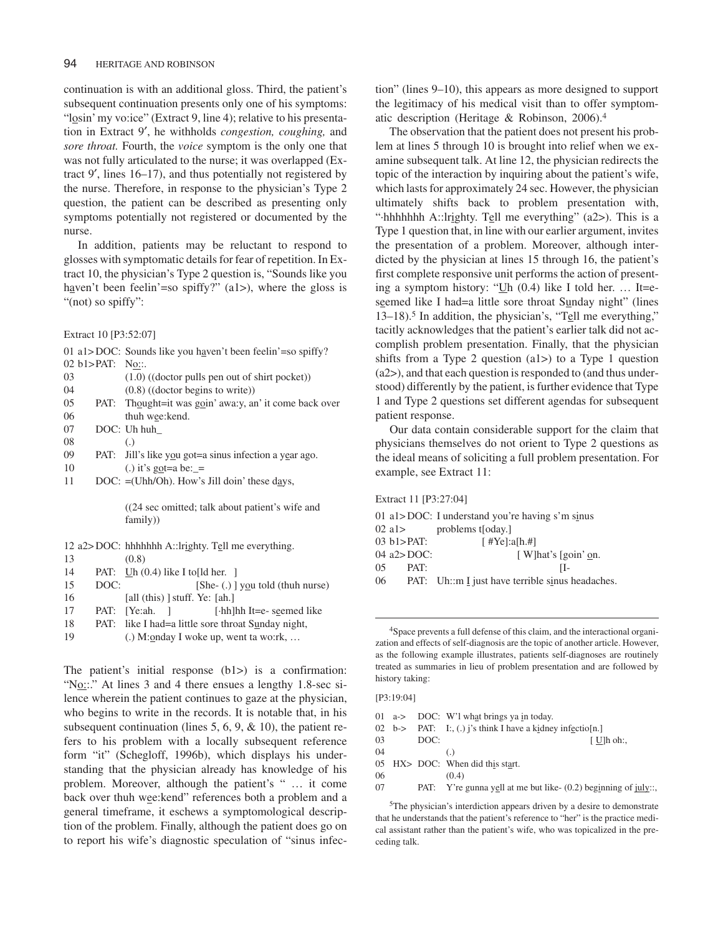continuation is with an additional gloss. Third, the patient's subsequent continuation presents only one of his symptoms: "losin' my vo:ice" (Extract 9, line 4); relative to his presentation in Extract 9′, he withholds *congestion, coughing,* and *sore throat.* Fourth, the *voice* symptom is the only one that was not fully articulated to the nurse; it was overlapped (Extract 9′, lines 16–17), and thus potentially not registered by the nurse. Therefore, in response to the physician's Type 2 question, the patient can be described as presenting only symptoms potentially not registered or documented by the nurse.

In addition, patients may be reluctant to respond to glosses with symptomatic details for fear of repetition. In Extract 10, the physician's Type 2 question is, "Sounds like you haven't been feelin'=so spiffy?" (a1>), where the gloss is "(not) so spiffy":

Extract 10 [P3:52:07]

|                 | 01 a1>DOC: Sounds like you haven't been feelin'=so spiffy? |
|-----------------|------------------------------------------------------------|
| 02 b1>PAT: $No$ |                                                            |
| 03              | $(1.0)$ ((doctor pulls pen out of shirt pocket))           |
| 04              | $(0.8)$ ((doctor begins to write))                         |
| 05              | PAT: Thought=it was goin' awa: y, an' it come back over    |
| 06              | thuh wee:kend.                                             |
| 07              | DOC: Uh huh                                                |
| 08              | $\left( .\right)$                                          |
| 09              | PAT: Jill's like you got=a sinus infection a year ago.     |
| 10              | (.) it's got=a be: $=$                                     |
| 11              | DOC: = (Uhh/Oh). How's Jill doin' these days,              |
|                 |                                                            |
|                 | ((24 sec omitted; talk about patient's wife and            |
|                 | family)                                                    |
|                 |                                                            |
|                 | 12 a2>DOC: hhhhhhh A::lrighty. Tell me everything.         |
| 13              | (0.8)                                                      |
| 14              | PAT: Uh $(0.4)$ like I to [ld her. ]                       |
| DOC:<br>15      | $[She-(.)]$ you told (thuh nurse)                          |

- 16 [all (this) ] stuff. Ye: [ah.]
- 17 PAT: [Ye:ah. ] [·hh]hh It=e- seemed like
- 18 PAT: like I had=a little sore throat Sunday night,
- 19 (.) M:**onday I woke up, went ta wo:rk, ...**

The patient's initial response (b1>) is a confirmation: "No::." At lines 3 and 4 there ensues a lengthy 1.8-sec silence wherein the patient continues to gaze at the physician, who begins to write in the records. It is notable that, in his subsequent continuation (lines 5, 6, 9, & 10), the patient refers to his problem with a locally subsequent reference form "it" (Schegloff, 1996b), which displays his understanding that the physician already has knowledge of his problem. Moreover, although the patient's " … it come back over thuh wee:kend" references both a problem and a general timeframe, it eschews a symptomological description of the problem. Finally, although the patient does go on to report his wife's diagnostic speculation of "sinus infection" (lines 9–10), this appears as more designed to support the legitimacy of his medical visit than to offer symptomatic description (Heritage & Robinson, 2006).4

The observation that the patient does not present his problem at lines 5 through 10 is brought into relief when we examine subsequent talk. At line 12, the physician redirects the topic of the interaction by inquiring about the patient's wife, which lasts for approximately 24 sec. However, the physician ultimately shifts back to problem presentation with, "·hhhhhhh A::lrighty. Tell me everything" (a2>). This is a Type 1 question that, in line with our earlier argument, invites the presentation of a problem. Moreover, although interdicted by the physician at lines 15 through 16, the patient's first complete responsive unit performs the action of presenting a symptom history: "Uh (0.4) like I told her. … It=eseemed like I had=a little sore throat Sunday night" (lines 13–18).5 In addition, the physician's, "Tell me everything," tacitly acknowledges that the patient's earlier talk did not accomplish problem presentation. Finally, that the physician shifts from a Type 2 question  $(a1)$  to a Type 1 question (a2>), and that each question is responded to (and thus understood) differently by the patient, is further evidence that Type 1 and Type 2 questions set different agendas for subsequent patient response.

Our data contain considerable support for the claim that physicians themselves do not orient to Type 2 questions as the ideal means of soliciting a full problem presentation. For example, see Extract 11:

Extract 11 [P3:27:04]

|    |                 | 01 a1>DOC: I understand you're having s'm sinus                 |
|----|-----------------|-----------------------------------------------------------------|
|    | $02$ al $>$     | problems t[oday.]                                               |
|    | $03 b1 > PAT$ : | $\lceil$ #Ye]:a $\lceil$ h.# $\rceil$                           |
|    | 04 $a2>DOC$ :   | [W]hat's [goin' on.                                             |
| 05 | PAT:            | H-                                                              |
| 06 |                 | PAT: Uh:: $m \underline{I}$ just have terrible sinus headaches. |

4Space prevents a full defense of this claim, and the interactional organization and effects of self-diagnosis are the topic of another article. However, as the following example illustrates, patients self-diagnoses are routinely treated as summaries in lieu of problem presentation and are followed by history taking:

```
[P3:19:04]
```

|    |      | 01 $a\rightarrow$ DOC: W'l what brings ya in today.              |
|----|------|------------------------------------------------------------------|
|    |      | 02 b-> PAT: I:, (.) j's think I have a kidney infectio [n.]      |
| 03 | DOC: | $\lceil$ U]h oh:                                                 |
| 04 |      | $\left( .\right)$                                                |
|    |      | 05 HX> DOC: When did this start.                                 |
| 06 |      | (0.4)                                                            |
| 07 |      | PAT: Y're gunna yell at me but like- $(0.2)$ beginning of july:: |
|    |      |                                                                  |

5The physician's interdiction appears driven by a desire to demonstrate that he understands that the patient's reference to "her" is the practice medical assistant rather than the patient's wife, who was topicalized in the preceding talk.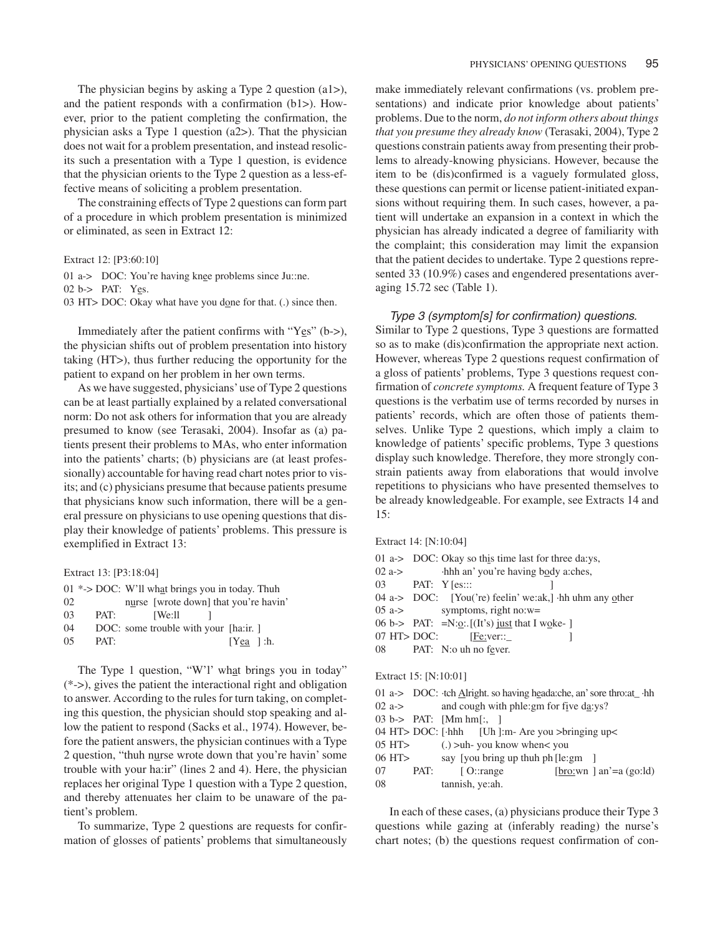The physician begins by asking a Type 2 question (a1>), and the patient responds with a confirmation (b1>). However, prior to the patient completing the confirmation, the physician asks a Type 1 question (a2>). That the physician does not wait for a problem presentation, and instead resolicits such a presentation with a Type 1 question, is evidence that the physician orients to the Type 2 question as a less-effective means of soliciting a problem presentation.

The constraining effects of Type 2 questions can form part of a procedure in which problem presentation is minimized or eliminated, as seen in Extract 12:

#### Extract 12: [P3:60:10]

01 a-> DOC: You're having knee problems since Ju::ne.

02 b-> PAT: Yes.

03 HT> DOC: Okay what have you done for that. (.) since then.

Immediately after the patient confirms with "Yes" (b->), the physician shifts out of problem presentation into history taking (HT>), thus further reducing the opportunity for the patient to expand on her problem in her own terms.

As we have suggested, physicians'use of Type 2 questions can be at least partially explained by a related conversational norm: Do not ask others for information that you are already presumed to know (see Terasaki, 2004). Insofar as (a) patients present their problems to MAs, who enter information into the patients' charts; (b) physicians are (at least professionally) accountable for having read chart notes prior to visits; and (c) physicians presume that because patients presume that physicians know such information, there will be a general pressure on physicians to use opening questions that display their knowledge of patients' problems. This pressure is exemplified in Extract 13:

Extract 13: [P3:18:04]

|    |      | 01 *-> DOC: W'll what brings you in today. Thuh |  |
|----|------|-------------------------------------------------|--|
| 02 |      | nurse [wrote down] that you're havin'           |  |
| 03 | PAT: | [We:ll]                                         |  |
| 04 |      | DOC: some trouble with your [ha:ir.]            |  |
| 05 | PAT: | $[Yea \; ]:h.$                                  |  |

The Type 1 question, "W'l' what brings you in today" (\*->), gives the patient the interactional right and obligation to answer. According to the rules for turn taking, on completing this question, the physician should stop speaking and allow the patient to respond (Sacks et al., 1974). However, before the patient answers, the physician continues with a Type 2 question, "thuh nurse wrote down that you're havin' some trouble with your ha:ir" (lines 2 and 4). Here, the physician replaces her original Type 1 question with a Type 2 question, and thereby attenuates her claim to be unaware of the patient's problem.

To summarize, Type 2 questions are requests for confirmation of glosses of patients' problems that simultaneously make immediately relevant confirmations (vs. problem presentations) and indicate prior knowledge about patients' problems. Due to the norm, *do not inform others about things that you presume they already know* (Terasaki, 2004), Type 2 questions constrain patients away from presenting their problems to already-knowing physicians. However, because the item to be (dis)confirmed is a vaguely formulated gloss, these questions can permit or license patient-initiated expansions without requiring them. In such cases, however, a patient will undertake an expansion in a context in which the physician has already indicated a degree of familiarity with the complaint; this consideration may limit the expansion that the patient decides to undertake. Type 2 questions represented 33 (10.9%) cases and engendered presentations averaging 15.72 sec (Table 1).

#### Type 3 (symptom[s] for confirmation) questions.

Similar to Type 2 questions, Type 3 questions are formatted so as to make (dis)confirmation the appropriate next action. However, whereas Type 2 questions request confirmation of a gloss of patients' problems, Type 3 questions request confirmation of *concrete symptoms.* A frequent feature of Type 3 questions is the verbatim use of terms recorded by nurses in patients' records, which are often those of patients themselves. Unlike Type 2 questions, which imply a claim to knowledge of patients' specific problems, Type 3 questions display such knowledge. Therefore, they more strongly constrain patients away from elaborations that would involve repetitions to physicians who have presented themselves to be already knowledgeable. For example, see Extracts 14 and 15:

Extract 14: [N:10:04]

|       | 01 a-> DOC: Okay so this time last for three da:ys,                 |
|-------|---------------------------------------------------------------------|
| 02a > | hhh an' you're having body a: ches.                                 |
| 03    | PAT: $Y$ [es:::                                                     |
|       | 04 a-> DOC: [You('re) feelin' we:ak,] h uhm any other               |
|       | $05 a \rightarrow$ symptoms, right no:w=                            |
|       | 06 b-> PAT: $=N:oc.[(It's)]$ just that I woke-                      |
|       | $07$ HT $>$ DOC:<br>[Fe:ver::                                       |
|       | 08 PAT: N:o uh no fever.                                            |
|       |                                                                     |
|       | Extract 15: [N:10:01]                                               |
|       | 01 a-> DOC: tch Alright. so having heada: che, an' sore thro: at hh |

|    | 02 a        |      |                                   | and cough with phle:gm for five da:ys?           |
|----|-------------|------|-----------------------------------|--------------------------------------------------|
|    |             |      | 03 b-> PAT: $[Mm h m[:, ]$        |                                                  |
|    |             |      |                                   | 04 HT> DOC: [·hhh [Uh ]:m- Are you >bringing up< |
|    | $05$ HT $>$ |      | $(.)$ >uh- you know when< you     |                                                  |
|    | $06$ HT $>$ |      | say [you bring up thuh ph [le:gm] |                                                  |
| 07 |             | PAT: | [O::range]                        | [bro:wn ] an'=a $(go:ld)$                        |
| 08 |             |      | tannish, ye:ah.                   |                                                  |
|    |             |      |                                   |                                                  |

In each of these cases, (a) physicians produce their Type 3 questions while gazing at (inferably reading) the nurse's chart notes; (b) the questions request confirmation of con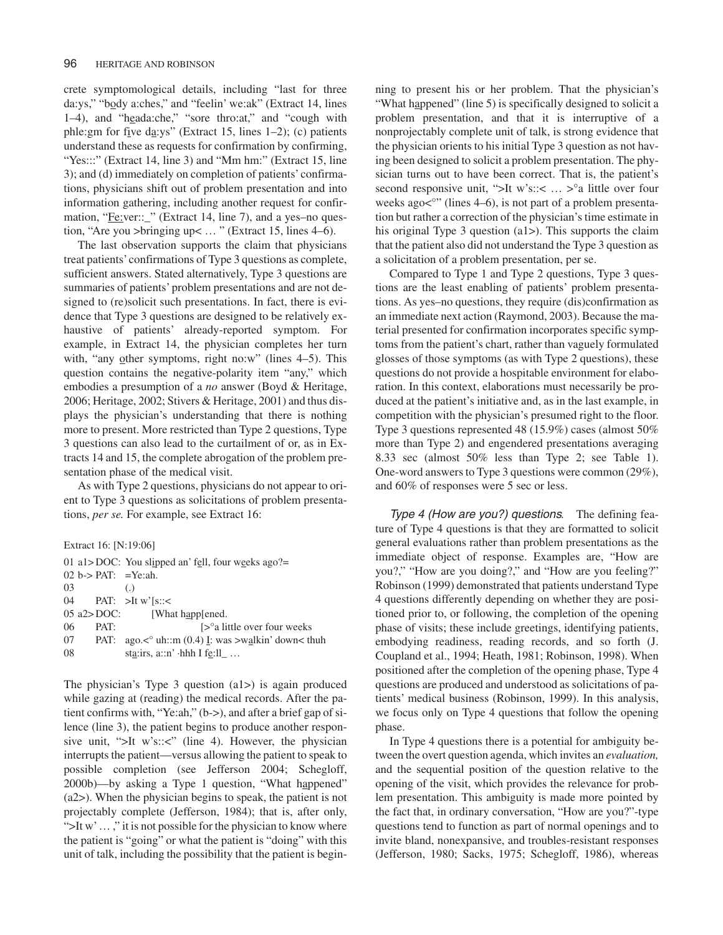crete symptomological details, including "last for three da:ys," "body a:ches," and "feelin' we:ak" (Extract 14, lines 1–4), and "heada:che," "sore thro:at," and "cough with phle:gm for five da:ys" (Extract 15, lines 1–2); (c) patients understand these as requests for confirmation by confirming, "Yes:::" (Extract 14, line 3) and "Mm hm:" (Extract 15, line 3); and (d) immediately on completion of patients' confirmations, physicians shift out of problem presentation and into information gathering, including another request for confirmation, "Fe:ver::\_" (Extract 14, line 7), and a yes–no question, "Are you >bringing up< … " (Extract 15, lines 4–6).

The last observation supports the claim that physicians treat patients'confirmations of Type 3 questions as complete, sufficient answers. Stated alternatively, Type 3 questions are summaries of patients' problem presentations and are not designed to (re)solicit such presentations. In fact, there is evidence that Type 3 questions are designed to be relatively exhaustive of patients' already-reported symptom. For example, in Extract 14, the physician completes her turn with, "any other symptoms, right no:w" (lines 4–5). This question contains the negative-polarity item "any," which embodies a presumption of a *no* answer (Boyd & Heritage, 2006; Heritage, 2002; Stivers & Heritage, 2001) and thus displays the physician's understanding that there is nothing more to present. More restricted than Type 2 questions, Type 3 questions can also lead to the curtailment of or, as in Extracts 14 and 15, the complete abrogation of the problem presentation phase of the medical visit.

As with Type 2 questions, physicians do not appear to orient to Type 3 questions as solicitations of problem presentations, *per se.* For example, see Extract 16:

Extract 16: [N:19:06]

|    |                         | 01 al > DOC: You slipped an' fell, four weeks ago?=   |
|----|-------------------------|-------------------------------------------------------|
|    | $02 b$ -> PAT: = Ye:ah. |                                                       |
| 03 |                         | $\left( .\right)$                                     |
|    |                         | 04 PAT: $>$ It w'[s::<                                |
|    |                         | 05 a2>DOC: What happ[ened.                            |
| 06 | PAT:                    | $\lceil >^{\circ}$ a little over four weeks           |
|    | 07 —                    | PAT: $ago. o uh::m (0.4) I: was >walkin' down < thuh$ |
| 08 |                         | sta:irs, $a::n'$ $\cdot$ hhh I fe: $ll$               |

The physician's Type 3 question (a1>) is again produced while gazing at (reading) the medical records. After the patient confirms with, "Ye:ah," (b->), and after a brief gap of silence (line 3), the patient begins to produce another responsive unit, ">It w's::<" (line 4). However, the physician interrupts the patient—versus allowing the patient to speak to possible completion (see Jefferson 2004; Schegloff, 2000b)—by asking a Type 1 question, "What happened" (a2>). When the physician begins to speak, the patient is not projectably complete (Jefferson, 1984); that is, after only, ">It w'… ," it is not possible for the physician to know where the patient is "going" or what the patient is "doing" with this unit of talk, including the possibility that the patient is begin-

ning to present his or her problem. That the physician's "What happened" (line 5) is specifically designed to solicit a problem presentation, and that it is interruptive of a nonprojectably complete unit of talk, is strong evidence that the physician orients to his initial Type 3 question as not having been designed to solicit a problem presentation. The physician turns out to have been correct. That is, the patient's second responsive unit, ">It w's::< ... > °a little over four weeks ago $\lt^{\circ\circ}$  (lines 4–6), is not part of a problem presentation but rather a correction of the physician's time estimate in his original Type 3 question (a1>). This supports the claim that the patient also did not understand the Type 3 question as a solicitation of a problem presentation, per se.

Compared to Type 1 and Type 2 questions, Type 3 questions are the least enabling of patients' problem presentations. As yes–no questions, they require (dis)confirmation as an immediate next action (Raymond, 2003). Because the material presented for confirmation incorporates specific symptoms from the patient's chart, rather than vaguely formulated glosses of those symptoms (as with Type 2 questions), these questions do not provide a hospitable environment for elaboration. In this context, elaborations must necessarily be produced at the patient's initiative and, as in the last example, in competition with the physician's presumed right to the floor. Type 3 questions represented 48 (15.9%) cases (almost 50% more than Type 2) and engendered presentations averaging 8.33 sec (almost 50% less than Type 2; see Table 1). One-word answers to Type 3 questions were common (29%), and 60% of responses were 5 sec or less.

Type 4 (How are you?) questions*.* The defining feature of Type 4 questions is that they are formatted to solicit general evaluations rather than problem presentations as the immediate object of response. Examples are, "How are you?," "How are you doing?," and "How are you feeling?" Robinson (1999) demonstrated that patients understand Type 4 questions differently depending on whether they are positioned prior to, or following, the completion of the opening phase of visits; these include greetings, identifying patients, embodying readiness, reading records, and so forth (J. Coupland et al., 1994; Heath, 1981; Robinson, 1998). When positioned after the completion of the opening phase, Type 4 questions are produced and understood as solicitations of patients' medical business (Robinson, 1999). In this analysis, we focus only on Type 4 questions that follow the opening phase.

In Type 4 questions there is a potential for ambiguity between the overt question agenda, which invites an *evaluation,* and the sequential position of the question relative to the opening of the visit, which provides the relevance for problem presentation. This ambiguity is made more pointed by the fact that, in ordinary conversation, "How are you?"-type questions tend to function as part of normal openings and to invite bland, nonexpansive, and troubles-resistant responses (Jefferson, 1980; Sacks, 1975; Schegloff, 1986), whereas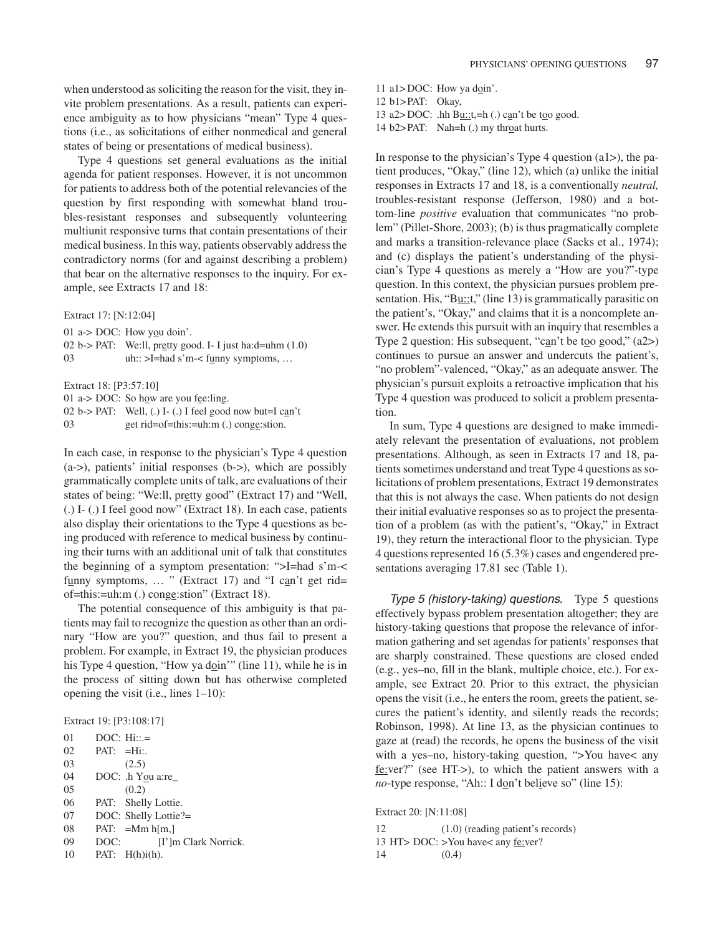when understood as soliciting the reason for the visit, they invite problem presentations. As a result, patients can experience ambiguity as to how physicians "mean" Type 4 questions (i.e., as solicitations of either nonmedical and general states of being or presentations of medical business).

Type 4 questions set general evaluations as the initial agenda for patient responses. However, it is not uncommon for patients to address both of the potential relevancies of the question by first responding with somewhat bland troubles-resistant responses and subsequently volunteering multiunit responsive turns that contain presentations of their medical business. In this way, patients observably address the contradictory norms (for and against describing a problem) that bear on the alternative responses to the inquiry. For example, see Extracts 17 and 18:

Extract 17: [N:12:04]

01 a-> DOC: How you doin'. 02 b-> PAT: We:ll, pretty good. I- I just ha:d=uhm (1.0) 03 uh:: >I=had s'm-< funny symptoms, ... Extract 18: [P3:57:10] 01 a-> DOC: So how are you fee:ling. 02 b-> PAT: Well, (.) I- (.) I feel good now but=I can't 03 get rid=of=this:=uh:m (.) conge:stion.

In each case, in response to the physician's Type 4 question (a->), patients' initial responses (b->), which are possibly grammatically complete units of talk, are evaluations of their states of being: "We:ll, pretty good" (Extract 17) and "Well, (.) I- (.) I feel good now" (Extract 18). In each case, patients also display their orientations to the Type 4 questions as being produced with reference to medical business by continuing their turns with an additional unit of talk that constitutes the beginning of a symptom presentation: ">I=had s'm-< funny symptoms, ... " (Extract 17) and "I can't get rid= of=this:=uh:m (.) conge:stion" (Extract 18).

The potential consequence of this ambiguity is that patients may fail to recognize the question as other than an ordinary "How are you?" question, and thus fail to present a problem. For example, in Extract 19, the physician produces his Type 4 question, "How ya doin" (line 11), while he is in the process of sitting down but has otherwise completed opening the visit (i.e., lines 1–10):

|    |              | Extract 19: [P3:108:17] |
|----|--------------|-------------------------|
| 01 | $DOC: Hi::=$ |                         |
| 02 | $PAT: =Hi$   |                         |
| 03 |              | (2.5)                   |
| 04 |              | DOC: .h You a:re        |
| 05 |              | (0.2)                   |
| 06 |              | PAT: Shelly Lottie.     |
| 07 |              | DOC: Shelly Lottie?=    |
| 08 |              | PAT: $=Mm h[m, ]$       |
| 09 | DOC:         | [I']m Clark Norrick.    |
| 10 |              | PAT: $H(h)i(h)$ .       |
|    |              |                         |

11 a1> DOC: How ya  $d$ oin'. 12 b1>PAT: Okay, 13 a2> DOC: .hh Bu:: $t = h(.)$  can't be too good. 14 b2>PAT: Nah=h (.) my throat hurts.

In response to the physician's Type 4 question (a1>), the patient produces, "Okay," (line 12), which (a) unlike the initial responses in Extracts 17 and 18, is a conventionally *neutral,* troubles-resistant response (Jefferson, 1980) and a bottom-line *positive* evaluation that communicates "no problem" (Pillet-Shore, 2003); (b) is thus pragmatically complete and marks a transition-relevance place (Sacks et al., 1974); and (c) displays the patient's understanding of the physician's Type 4 questions as merely a "How are you?"-type question. In this context, the physician pursues problem presentation. His, "Bu::t," (line 13) is grammatically parasitic on the patient's, "Okay," and claims that it is a noncomplete answer. He extends this pursuit with an inquiry that resembles a Type 2 question: His subsequent, "can't be too good,"  $(a2)$ ) continues to pursue an answer and undercuts the patient's, "no problem"-valenced, "Okay," as an adequate answer. The physician's pursuit exploits a retroactive implication that his Type 4 question was produced to solicit a problem presentation.

In sum, Type 4 questions are designed to make immediately relevant the presentation of evaluations, not problem presentations. Although, as seen in Extracts 17 and 18, patients sometimes understand and treat Type 4 questions as solicitations of problem presentations, Extract 19 demonstrates that this is not always the case. When patients do not design their initial evaluative responses so as to project the presentation of a problem (as with the patient's, "Okay," in Extract 19), they return the interactional floor to the physician. Type 4 questions represented 16 (5.3%) cases and engendered presentations averaging 17.81 sec (Table 1).

Type 5 (history-taking) questions. Type 5 questions effectively bypass problem presentation altogether; they are history-taking questions that propose the relevance of information gathering and set agendas for patients' responses that are sharply constrained. These questions are closed ended (e.g., yes–no, fill in the blank, multiple choice, etc.). For example, see Extract 20. Prior to this extract, the physician opens the visit (i.e., he enters the room, greets the patient, secures the patient's identity, and silently reads the records; Robinson, 1998). At line 13, as the physician continues to gaze at (read) the records, he opens the business of the visit with a yes–no, history-taking question, ">You have< any fe:ver?" (see HT->), to which the patient answers with a *no*-type response, "Ah:: I don't believe so" (line 15):

Extract 20: [N:11:08]

- 12 (1.0) (reading patient's records) 13 HT> DOC: >You have< any fe:ver?
- 14 (0.4)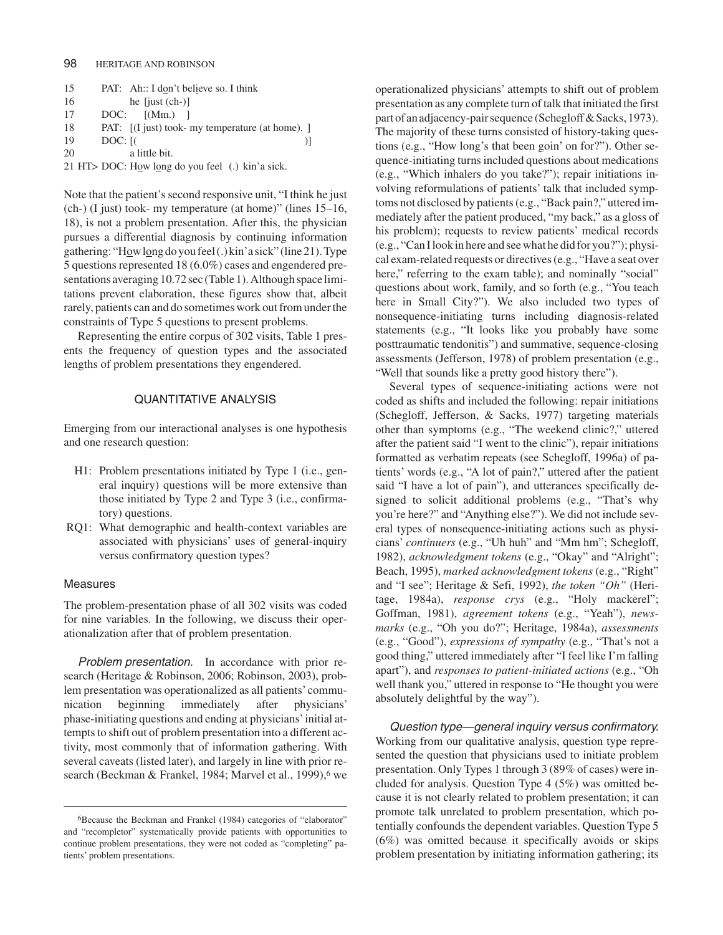#### 98 **HERITAGE AND ROBINSON**

| 15 |                | PAT: Ah:: I don't believe so. I think            |
|----|----------------|--------------------------------------------------|
| 16 |                | he $\lceil \text{just (ch-)} \rceil$             |
| 17 |                | DOC: [(Mm.)]                                     |
| 18 |                | PAT: [(I just) took- my temperature (at home). ] |
| 19 | $DOC:$ $I$ $($ |                                                  |
| 20 |                | a little bit.                                    |
|    |                | 21 HT> DOC: How long do you feel (.) kin'a sick. |

Note that the patient's second responsive unit, "I think he just (ch-) (I just) took- my temperature (at home)" (lines 15–16, 18), is not a problem presentation. After this, the physician pursues a differential diagnosis by continuing information gathering: "Howlong do you feel (.) kin'a sick" (line 21). Type 5 questions represented 18 (6.0%) cases and engendered presentations averaging 10.72 sec (Table 1). Although space limitations prevent elaboration, these figures show that, albeit rarely, patients can and do sometimes work out from under the constraints of Type 5 questions to present problems.

Representing the entire corpus of 302 visits, Table 1 presents the frequency of question types and the associated lengths of problem presentations they engendered.

## QUANTITATIVE ANALYSIS

Emerging from our interactional analyses is one hypothesis and one research question:

- H1: Problem presentations initiated by Type 1 (i.e., general inquiry) questions will be more extensive than those initiated by Type 2 and Type 3 (i.e., confirmatory) questions.
- RQ1: What demographic and health-context variables are associated with physicians' uses of general-inquiry versus confirmatory question types?

# Measures

The problem-presentation phase of all 302 visits was coded for nine variables. In the following, we discuss their operationalization after that of problem presentation.

Problem presentation. In accordance with prior research (Heritage & Robinson, 2006; Robinson, 2003), problem presentation was operationalized as all patients'communication beginning immediately after physicians' phase-initiating questions and ending at physicians'initial attempts to shift out of problem presentation into a different activity, most commonly that of information gathering. With several caveats (listed later), and largely in line with prior research (Beckman & Frankel, 1984; Marvel et al., 1999),<sup>6</sup> we operationalized physicians' attempts to shift out of problem presentation as any complete turn of talk that initiated the first part of an adjacency-pair sequence (Schegloff & Sacks, 1973). The majority of these turns consisted of history-taking questions (e.g., "How long's that been goin' on for?"). Other sequence-initiating turns included questions about medications (e.g., "Which inhalers do you take?"); repair initiations involving reformulations of patients' talk that included symptoms not disclosed by patients (e.g., "Back pain?," uttered immediately after the patient produced, "my back," as a gloss of his problem); requests to review patients' medical records (e.g., "Can I look in here and see what he did for you?"); physical exam-related requests or directives (e.g., "Have a seat over here," referring to the exam table); and nominally "social" questions about work, family, and so forth (e.g., "You teach here in Small City?"). We also included two types of nonsequence-initiating turns including diagnosis-related statements (e.g., "It looks like you probably have some posttraumatic tendonitis") and summative, sequence-closing assessments (Jefferson, 1978) of problem presentation (e.g., "Well that sounds like a pretty good history there").

Several types of sequence-initiating actions were not coded as shifts and included the following: repair initiations (Schegloff, Jefferson, & Sacks, 1977) targeting materials other than symptoms (e.g., "The weekend clinic?," uttered after the patient said "I went to the clinic"), repair initiations formatted as verbatim repeats (see Schegloff, 1996a) of patients' words (e.g., "A lot of pain?," uttered after the patient said "I have a lot of pain"), and utterances specifically designed to solicit additional problems (e.g., "That's why you're here?" and "Anything else?"). We did not include several types of nonsequence-initiating actions such as physicians' *continuers* (e.g., "Uh huh" and "Mm hm"; Schegloff, 1982), *acknowledgment tokens* (e.g., "Okay" and "Alright"; Beach, 1995), *marked acknowledgment tokens* (e.g., "Right" and "I see"; Heritage & Sefi, 1992), *the token "Oh"* (Heritage, 1984a), *response crys* (e.g., "Holy mackerel"; Goffman, 1981), *agreement tokens* (e.g., "Yeah"), *newsmarks* (e.g., "Oh you do?"; Heritage, 1984a), *assessments* (e.g., "Good"), *expressions of sympathy* (e.g., "That's not a good thing," uttered immediately after "I feel like I'm falling apart"), and *responses to patient-initiated actions* (e.g., "Oh well thank you," uttered in response to "He thought you were absolutely delightful by the way").

Question type—general inquiry versus confirmatory. Working from our qualitative analysis, question type represented the question that physicians used to initiate problem presentation. Only Types 1 through 3 (89% of cases) were included for analysis. Question Type 4 (5%) was omitted because it is not clearly related to problem presentation; it can promote talk unrelated to problem presentation, which potentially confounds the dependent variables. Question Type 5 (6%) was omitted because it specifically avoids or skips problem presentation by initiating information gathering; its

<sup>&</sup>lt;sup>6</sup>Because the Beckman and Frankel (1984) categories of "elaborator" and "recompletor" systematically provide patients with opportunities to continue problem presentations, they were not coded as "completing" patients' problem presentations.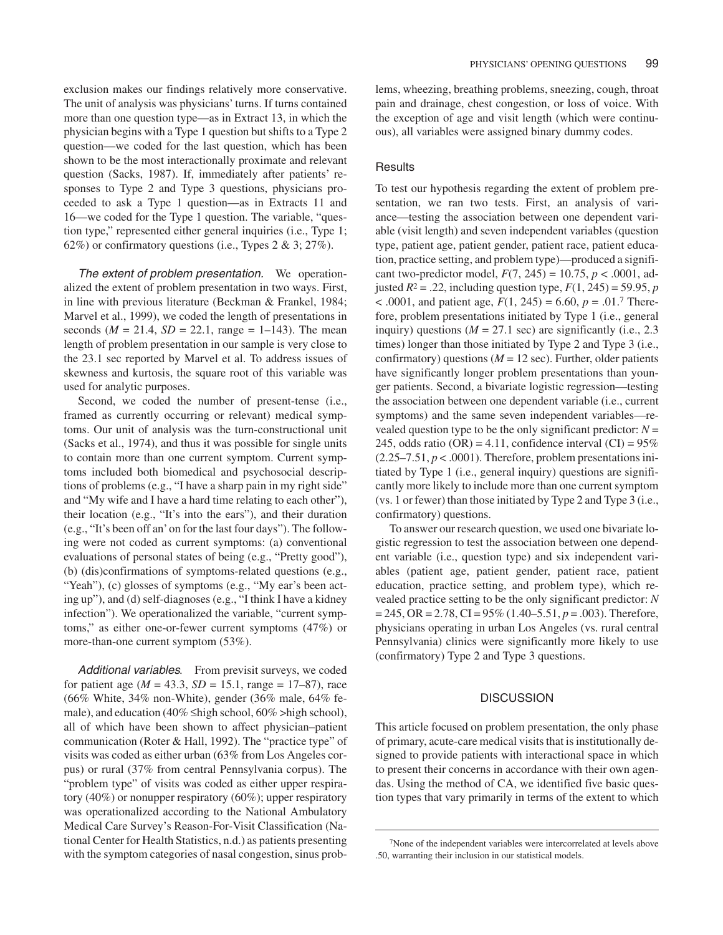exclusion makes our findings relatively more conservative. The unit of analysis was physicians' turns. If turns contained more than one question type—as in Extract 13, in which the physician begins with a Type 1 question but shifts to a Type 2 question—we coded for the last question, which has been shown to be the most interactionally proximate and relevant question (Sacks, 1987). If, immediately after patients' responses to Type 2 and Type 3 questions, physicians proceeded to ask a Type 1 question—as in Extracts 11 and 16—we coded for the Type 1 question. The variable, "question type," represented either general inquiries (i.e., Type 1; 62%) or confirmatory questions (i.e., Types 2 & 3; 27%).

The extent of problem presentation. We operationalized the extent of problem presentation in two ways. First, in line with previous literature (Beckman & Frankel, 1984; Marvel et al., 1999), we coded the length of presentations in seconds ( $M = 21.4$ ,  $SD = 22.1$ , range = 1–143). The mean length of problem presentation in our sample is very close to the 23.1 sec reported by Marvel et al. To address issues of skewness and kurtosis, the square root of this variable was used for analytic purposes.

Second, we coded the number of present-tense (i.e., framed as currently occurring or relevant) medical symptoms. Our unit of analysis was the turn-constructional unit (Sacks et al., 1974), and thus it was possible for single units to contain more than one current symptom. Current symptoms included both biomedical and psychosocial descriptions of problems (e.g., "I have a sharp pain in my right side" and "My wife and I have a hard time relating to each other"), their location (e.g., "It's into the ears"), and their duration (e.g., "It's been off an'on for the last four days"). The following were not coded as current symptoms: (a) conventional evaluations of personal states of being (e.g., "Pretty good"), (b) (dis)confirmations of symptoms-related questions (e.g., "Yeah"), (c) glosses of symptoms (e.g., "My ear's been acting up"), and (d) self-diagnoses (e.g., "I think I have a kidney infection"). We operationalized the variable, "current symptoms," as either one-or-fewer current symptoms (47%) or more-than-one current symptom (53%).

Additional variables*.* From previsit surveys, we coded for patient age ( $M = 43.3$ ,  $SD = 15.1$ , range = 17–87), race (66% White, 34% non-White), gender (36% male, 64% female), and education (40% ≤high school, 60% >high school), all of which have been shown to affect physician–patient communication (Roter & Hall, 1992). The "practice type" of visits was coded as either urban (63% from Los Angeles corpus) or rural (37% from central Pennsylvania corpus). The "problem type" of visits was coded as either upper respiratory (40%) or nonupper respiratory (60%); upper respiratory was operationalized according to the National Ambulatory Medical Care Survey's Reason-For-Visit Classification (National Center for Health Statistics, n.d.) as patients presenting with the symptom categories of nasal congestion, sinus problems, wheezing, breathing problems, sneezing, cough, throat pain and drainage, chest congestion, or loss of voice. With the exception of age and visit length (which were continuous), all variables were assigned binary dummy codes.

## **Results**

To test our hypothesis regarding the extent of problem presentation, we ran two tests. First, an analysis of variance—testing the association between one dependent variable (visit length) and seven independent variables (question type, patient age, patient gender, patient race, patient education, practice setting, and problem type)—produced a significant two-predictor model,  $F(7, 245) = 10.75$ ,  $p < .0001$ , adjusted  $R^2 = .22$ , including question type,  $F(1, 245) = 59.95$ , *p*  $\leq$  .0001, and patient age,  $F(1, 245) = 6.60$ ,  $p = .01$ .<sup>7</sup> Therefore, problem presentations initiated by Type 1 (i.e., general inquiry) questions ( $M = 27.1$  sec) are significantly (i.e., 2.3) times) longer than those initiated by Type 2 and Type 3 (i.e., confirmatory) questions ( $M = 12$  sec). Further, older patients have significantly longer problem presentations than younger patients. Second, a bivariate logistic regression—testing the association between one dependent variable (i.e., current symptoms) and the same seven independent variables—revealed question type to be the only significant predictor:  $N =$ 245, odds ratio  $(OR) = 4.11$ , confidence interval  $(CI) = 95\%$  $(2.25-7.51, p < .0001)$ . Therefore, problem presentations initiated by Type 1 (i.e., general inquiry) questions are significantly more likely to include more than one current symptom (vs. 1 or fewer) than those initiated by Type 2 and Type 3 (i.e., confirmatory) questions.

To answer our research question, we used one bivariate logistic regression to test the association between one dependent variable (i.e., question type) and six independent variables (patient age, patient gender, patient race, patient education, practice setting, and problem type), which revealed practice setting to be the only significant predictor: *N* = 245, OR = 2.78, CI = 95% (1.40–5.51, *p* = .003). Therefore, physicians operating in urban Los Angeles (vs. rural central Pennsylvania) clinics were significantly more likely to use (confirmatory) Type 2 and Type 3 questions.

#### **DISCUSSION**

This article focused on problem presentation, the only phase of primary, acute-care medical visits that is institutionally designed to provide patients with interactional space in which to present their concerns in accordance with their own agendas. Using the method of CA, we identified five basic question types that vary primarily in terms of the extent to which

<sup>7</sup>None of the independent variables were intercorrelated at levels above .50, warranting their inclusion in our statistical models.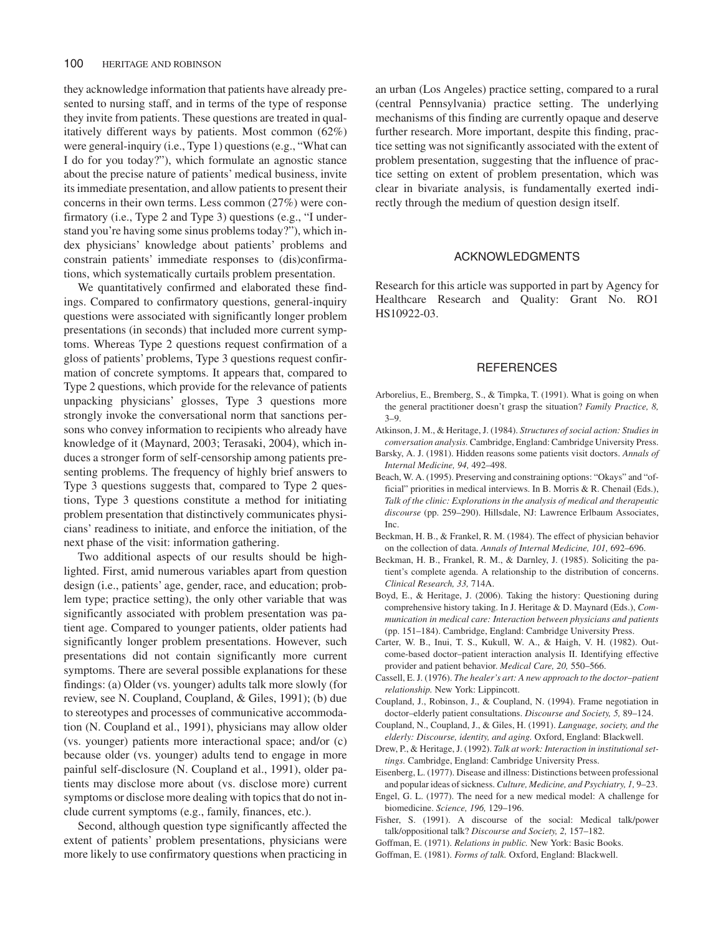they acknowledge information that patients have already presented to nursing staff, and in terms of the type of response they invite from patients. These questions are treated in qualitatively different ways by patients. Most common (62%) were general-inquiry (i.e., Type 1) questions (e.g., "What can I do for you today?"), which formulate an agnostic stance about the precise nature of patients' medical business, invite its immediate presentation, and allow patients to present their concerns in their own terms. Less common (27%) were confirmatory (i.e., Type 2 and Type 3) questions (e.g., "I understand you're having some sinus problems today?"), which index physicians' knowledge about patients' problems and constrain patients' immediate responses to (dis)confirmations, which systematically curtails problem presentation.

We quantitatively confirmed and elaborated these findings. Compared to confirmatory questions, general-inquiry questions were associated with significantly longer problem presentations (in seconds) that included more current symptoms. Whereas Type 2 questions request confirmation of a gloss of patients' problems, Type 3 questions request confirmation of concrete symptoms. It appears that, compared to Type 2 questions, which provide for the relevance of patients unpacking physicians' glosses, Type 3 questions more strongly invoke the conversational norm that sanctions persons who convey information to recipients who already have knowledge of it (Maynard, 2003; Terasaki, 2004), which induces a stronger form of self-censorship among patients presenting problems. The frequency of highly brief answers to Type 3 questions suggests that, compared to Type 2 questions, Type 3 questions constitute a method for initiating problem presentation that distinctively communicates physicians' readiness to initiate, and enforce the initiation, of the next phase of the visit: information gathering.

Two additional aspects of our results should be highlighted. First, amid numerous variables apart from question design (i.e., patients' age, gender, race, and education; problem type; practice setting), the only other variable that was significantly associated with problem presentation was patient age. Compared to younger patients, older patients had significantly longer problem presentations. However, such presentations did not contain significantly more current symptoms. There are several possible explanations for these findings: (a) Older (vs. younger) adults talk more slowly (for review, see N. Coupland, Coupland, & Giles, 1991); (b) due to stereotypes and processes of communicative accommodation (N. Coupland et al., 1991), physicians may allow older (vs. younger) patients more interactional space; and/or (c) because older (vs. younger) adults tend to engage in more painful self-disclosure (N. Coupland et al., 1991), older patients may disclose more about (vs. disclose more) current symptoms or disclose more dealing with topics that do not include current symptoms (e.g., family, finances, etc.).

Second, although question type significantly affected the extent of patients' problem presentations, physicians were more likely to use confirmatory questions when practicing in an urban (Los Angeles) practice setting, compared to a rural (central Pennsylvania) practice setting. The underlying mechanisms of this finding are currently opaque and deserve further research. More important, despite this finding, practice setting was not significantly associated with the extent of problem presentation, suggesting that the influence of practice setting on extent of problem presentation, which was clear in bivariate analysis, is fundamentally exerted indirectly through the medium of question design itself.

#### ACKNOWLEDGMENTS

Research for this article was supported in part by Agency for Healthcare Research and Quality: Grant No. RO1 HS10922-03.

#### **REFERENCES**

- Arborelius, E., Bremberg, S., & Timpka, T. (1991). What is going on when the general practitioner doesn't grasp the situation? *Family Practice, 8,* 3–9.
- Atkinson, J. M., & Heritage, J. (1984). *Structures of social action: Studies in conversation analysis.* Cambridge, England: Cambridge University Press.
- Barsky, A. J. (1981). Hidden reasons some patients visit doctors. *Annals of Internal Medicine, 94,* 492–498.
- Beach, W. A. (1995). Preserving and constraining options: "Okays" and "official" priorities in medical interviews. In B. Morris & R. Chenail (Eds.), *Talk of the clinic: Explorations in the analysis of medical and therapeutic discourse* (pp. 259–290). Hillsdale, NJ: Lawrence Erlbaum Associates, Inc.
- Beckman, H. B., & Frankel, R. M. (1984). The effect of physician behavior on the collection of data. *Annals of Internal Medicine, 101,* 692–696.
- Beckman, H. B., Frankel, R. M., & Darnley, J. (1985). Soliciting the patient's complete agenda. A relationship to the distribution of concerns. *Clinical Research, 33,* 714A.
- Boyd, E., & Heritage, J. (2006). Taking the history: Questioning during comprehensive history taking. In J. Heritage & D. Maynard (Eds.), *Communication in medical care: Interaction between physicians and patients* (pp. 151–184). Cambridge, England: Cambridge University Press.
- Carter, W. B., Inui, T. S., Kukull, W. A., & Haigh, V. H. (1982). Outcome-based doctor–patient interaction analysis II. Identifying effective provider and patient behavior. *Medical Care, 20,* 550–566.
- Cassell, E. J. (1976). *The healer's art: A new approach to the doctor–patient relationship.* New York: Lippincott.
- Coupland, J., Robinson, J., & Coupland, N. (1994). Frame negotiation in doctor–elderly patient consultations. *Discourse and Society, 5,* 89–124.
- Coupland, N., Coupland, J., & Giles, H. (1991). *Language, society, and the elderly: Discourse, identity, and aging.* Oxford, England: Blackwell.
- Drew, P., & Heritage, J. (1992). *Talk at work: Interaction in institutional settings.* Cambridge, England: Cambridge University Press.
- Eisenberg, L. (1977). Disease and illness: Distinctions between professional and popular ideas of sickness. *Culture, Medicine, and Psychiatry, 1,* 9–23.
- Engel, G. L. (1977). The need for a new medical model: A challenge for biomedicine. *Science, 196,* 129–196.
- Fisher, S. (1991). A discourse of the social: Medical talk/power talk/oppositional talk? *Discourse and Society, 2,* 157–182.
- Goffman, E. (1971). *Relations in public.* New York: Basic Books.
- Goffman, E. (1981). *Forms of talk.* Oxford, England: Blackwell.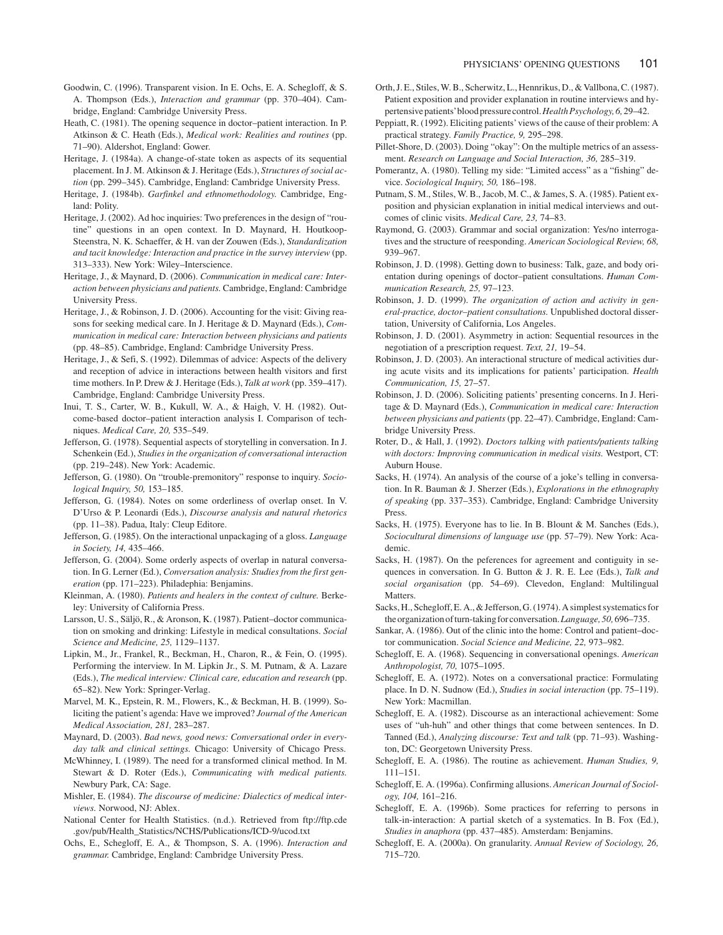- Goodwin, C. (1996). Transparent vision. In E. Ochs, E. A. Schegloff, & S. A. Thompson (Eds.), *Interaction and grammar* (pp. 370–404). Cambridge, England: Cambridge University Press.
- Heath, C. (1981). The opening sequence in doctor–patient interaction. In P. Atkinson & C. Heath (Eds.), *Medical work: Realities and routines* (pp. 71–90). Aldershot, England: Gower.
- Heritage, J. (1984a). A change-of-state token as aspects of its sequential placement. In J. M. Atkinson & J. Heritage (Eds.), *Structures of social action* (pp. 299–345). Cambridge, England: Cambridge University Press.
- Heritage, J. (1984b). *Garfinkel and ethnomethodology.* Cambridge, England: Polity.
- Heritage, J. (2002). Ad hoc inquiries: Two preferences in the design of "routine" questions in an open context. In D. Maynard, H. Houtkoop-Steenstra, N. K. Schaeffer, & H. van der Zouwen (Eds.), *Standardization and tacit knowledge: Interaction and practice in the survey interview* (pp. 313–333). New York: Wiley–Interscience.
- Heritage, J., & Maynard, D. (2006). *Communication in medical care: Interaction between physicians and patients.* Cambridge, England: Cambridge University Press.
- Heritage, J., & Robinson, J. D. (2006). Accounting for the visit: Giving reasons for seeking medical care. In J. Heritage & D. Maynard (Eds.), *Communication in medical care: Interaction between physicians and patients* (pp. 48–85). Cambridge, England: Cambridge University Press.
- Heritage, J., & Sefi, S. (1992). Dilemmas of advice: Aspects of the delivery and reception of advice in interactions between health visitors and first time mothers. In P. Drew & J. Heritage (Eds.), *Talk at work* (pp. 359–417). Cambridge, England: Cambridge University Press.
- Inui, T. S., Carter, W. B., Kukull, W. A., & Haigh, V. H. (1982). Outcome-based doctor–patient interaction analysis I. Comparison of techniques. *Medical Care, 20,* 535–549.
- Jefferson, G. (1978). Sequential aspects of storytelling in conversation. In J. Schenkein (Ed.), *Studies in the organization of conversational interaction* (pp. 219–248). New York: Academic.
- Jefferson, G. (1980). On "trouble-premonitory" response to inquiry. *Sociological Inquiry, 50,* 153–185.
- Jefferson, G. (1984). Notes on some orderliness of overlap onset. In V. D'Urso & P. Leonardi (Eds.), *Discourse analysis and natural rhetorics* (pp. 11–38). Padua, Italy: Cleup Editore.
- Jefferson, G. (1985). On the interactional unpackaging of a gloss. *Language in Society, 14,* 435–466.
- Jefferson, G. (2004). Some orderly aspects of overlap in natural conversation. In G. Lerner (Ed.), *Conversation analysis: Studies from the first generation* (pp. 171–223). Philadephia: Benjamins.
- Kleinman, A. (1980). *Patients and healers in the context of culture.* Berkeley: University of California Press.
- Larsson, U. S., Säljö, R., & Aronson, K. (1987). Patient–doctor communication on smoking and drinking: Lifestyle in medical consultations. *Social Science and Medicine, 25,* 1129–1137.
- Lipkin, M., Jr., Frankel, R., Beckman, H., Charon, R., & Fein, O. (1995). Performing the interview. In M. Lipkin Jr., S. M. Putnam, & A. Lazare (Eds.), *The medical interview: Clinical care, education and research* (pp. 65–82). New York: Springer-Verlag.
- Marvel, M. K., Epstein, R. M., Flowers, K., & Beckman, H. B. (1999). Soliciting the patient's agenda: Have we improved? *Journal of the American Medical Association, 281,* 283–287.
- Maynard, D. (2003). *Bad news, good news: Conversational order in everyday talk and clinical settings.* Chicago: University of Chicago Press.
- McWhinney, I. (1989). The need for a transformed clinical method. In M. Stewart & D. Roter (Eds.), *Communicating with medical patients.* Newbury Park, CA: Sage.
- Mishler, E. (1984). *The discourse of medicine: Dialectics of medical interviews.* Norwood, NJ: Ablex.
- National Center for Health Statistics. (n.d.). Retrieved from ftp://ftp.cde .gov/pub/Health\_Statistics/NCHS/Publications/ICD-9/ucod.txt
- Ochs, E., Schegloff, E. A., & Thompson, S. A. (1996). *Interaction and grammar.* Cambridge, England: Cambridge University Press.
- Orth, J. E., Stiles, W. B., Scherwitz, L., Hennrikus, D., & Vallbona, C. (1987). Patient exposition and provider explanation in routine interviews and hypertensivepatients'bloodpressurecontrol.*HealthPsychology,6,*29–42.
- Peppiatt, R. (1992). Eliciting patients'views of the cause of their problem: A practical strategy. *Family Practice, 9,* 295–298.
- Pillet-Shore, D. (2003). Doing "okay": On the multiple metrics of an assessment. *Research on Language and Social Interaction, 36,* 285–319.
- Pomerantz, A. (1980). Telling my side: "Limited access" as a "fishing" device. *Sociological Inquiry, 50,* 186–198.
- Putnam, S. M., Stiles, W. B., Jacob, M. C., & James, S. A. (1985). Patient exposition and physician explanation in initial medical interviews and outcomes of clinic visits. *Medical Care, 23,* 74–83.
- Raymond, G. (2003). Grammar and social organization: Yes/no interrogatives and the structure of reesponding. *American Sociological Review, 68,* 939–967.
- Robinson, J. D. (1998). Getting down to business: Talk, gaze, and body orientation during openings of doctor–patient consultations. *Human Communication Research, 25,* 97–123.
- Robinson, J. D. (1999). *The organization of action and activity in general-practice, doctor–patient consultations.* Unpublished doctoral dissertation, University of California, Los Angeles.
- Robinson, J. D. (2001). Asymmetry in action: Sequential resources in the negotiation of a prescription request. *Text, 21,* 19–54.
- Robinson, J. D. (2003). An interactional structure of medical activities during acute visits and its implications for patients' participation. *Health Communication, 15,* 27–57.
- Robinson, J. D. (2006). Soliciting patients' presenting concerns. In J. Heritage & D. Maynard (Eds.), *Communication in medical care: Interaction between physicians and patients* (pp. 22–47). Cambridge, England: Cambridge University Press.
- Roter, D., & Hall, J. (1992). *Doctors talking with patients/patients talking with doctors: Improving communication in medical visits.* Westport, CT: Auburn House.
- Sacks, H. (1974). An analysis of the course of a joke's telling in conversation. In R. Bauman & J. Sherzer (Eds.), *Explorations in the ethnography of speaking* (pp. 337–353). Cambridge, England: Cambridge University Press.
- Sacks, H. (1975). Everyone has to lie. In B. Blount & M. Sanches (Eds.), *Sociocultural dimensions of language use* (pp. 57–79). New York: Academic.
- Sacks, H. (1987). On the peferences for agreement and contiguity in sequences in conversation. In G. Button & J. R. E. Lee (Eds.), *Talk and social organisation* (pp. 54–69). Clevedon, England: Multilingual **Matters**.
- Sacks, H., Schegloff, E. A., & Jefferson, G. (1974). A simplest systematics for the organization of turn-taking for conversation. *Language*, 50, 696–735.
- Sankar, A. (1986). Out of the clinic into the home: Control and patient–doctor communication. *Social Science and Medicine, 22,* 973–982.
- Schegloff, E. A. (1968). Sequencing in conversational openings. *American Anthropologist, 70,* 1075–1095.
- Schegloff, E. A. (1972). Notes on a conversational practice: Formulating place. In D. N. Sudnow (Ed.), *Studies in social interaction* (pp. 75–119). New York: Macmillan.
- Schegloff, E. A. (1982). Discourse as an interactional achievement: Some uses of "uh-huh" and other things that come between sentences. In D. Tanned (Ed.), *Analyzing discourse: Text and talk* (pp. 71–93). Washington, DC: Georgetown University Press.
- Schegloff, E. A. (1986). The routine as achievement. *Human Studies, 9,* 111–151.
- Schegloff, E. A. (1996a). Confirming allusions. *American Journal of Sociology, 104,* 161–216.
- Schegloff, E. A. (1996b). Some practices for referring to persons in talk-in-interaction: A partial sketch of a systematics. In B. Fox (Ed.), *Studies in anaphora* (pp. 437–485). Amsterdam: Benjamins.
- Schegloff, E. A. (2000a). On granularity. *Annual Review of Sociology, 26,* 715–720.